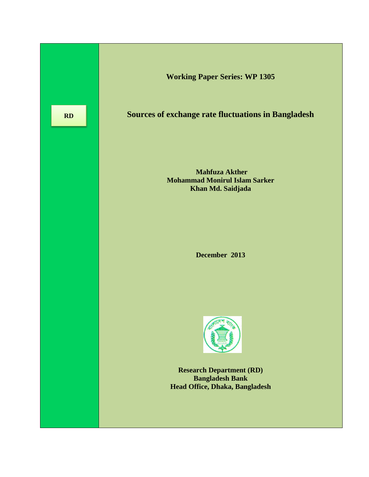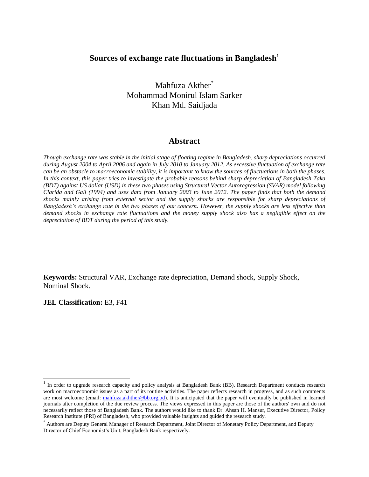## **Sources of exchange rate fluctuations in Bangladesh<sup>1</sup>**

Mahfuza Akther<sup>\*</sup> Mohammad Monirul Islam Sarker Khan Md. Saidjada

### **Abstract**

*Though exchange rate was stable in the initial stage of floating regime in Bangladesh, sharp depreciations occurred during August 2004 to April 2006 and again in July 2010 to January 2012. As excessive fluctuation of exchange rate can be an obstacle to macroeconomic stability, it is important to know the sources of fluctuations in both the phases. In this context, this paper tries to investigate the probable reasons behind sharp depreciation of Bangladesh Taka (BDT) against US dollar (USD) in these two phases using Structural Vector Autoregression (SVAR) model following Clarida and Gali (1994) and uses data from January 2003 to June 2012. The paper finds that both the demand shocks mainly arising from external sector and the supply shocks are responsible for sharp depreciations of Bangladesh's exchange rate in the two phases of our concern. However, the supply shocks are less effective than demand shocks in exchange rate fluctuations and the money supply shock also has a negligible effect on the depreciation of BDT during the period of this study.* 

**Keywords:** Structural VAR, Exchange rate depreciation, Demand shock, Supply Shock, Nominal Shock.

**JEL Classification:** E3, F41

 $\overline{\phantom{a}}$ 

<sup>&</sup>lt;sup>1</sup> In order to upgrade research capacity and policy analysis at Bangladesh Bank (BB), Research Department conducts research work on macroeconomic issues as a part of its routine activities. The paper reflects research in progress, and as such comments are most welcome (email: [mahfuza.akhther@bb.org.bd\)](mailto:mahfuza.akhther@bb.org.bd). It is anticipated that the paper will eventually be published in learned journals after completion of the due review process. The views expressed in this paper are those of the authors' own and do not necessarily reflect those of Bangladesh Bank. The authors would like to thank Dr. Ahsan H. Mansur, Executive Director, Policy Research Institute (PRI) of Bangladesh, who provided valuable insights and guided the research study.

<sup>\*</sup> Authors are Deputy General Manager of Research Department, Joint Director of Monetary Policy Department, and Deputy Director of Chief Economist's Unit, Bangladesh Bank respectively.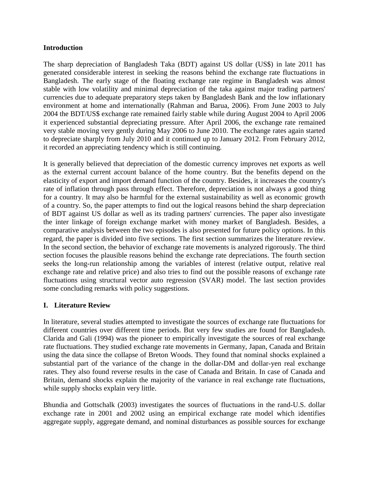## **Introduction**

The sharp depreciation of Bangladesh Taka (BDT) against US dollar (US\$) in late 2011 has generated considerable interest in seeking the reasons behind the exchange rate fluctuations in Bangladesh. The early stage of the floating exchange rate regime in Bangladesh was almost stable with low volatility and minimal depreciation of the taka against major trading partners' currencies due to adequate preparatory steps taken by Bangladesh Bank and the low inflationary environment at home and internationally (Rahman and Barua, 2006). From June 2003 to July 2004 the BDT/US\$ exchange rate remained fairly stable while during August 2004 to April 2006 it experienced substantial depreciating pressure. After April 2006, the exchange rate remained very stable moving very gently during May 2006 to June 2010. The exchange rates again started to depreciate sharply from July 2010 and it continued up to January 2012. From February 2012, it recorded an appreciating tendency which is still continuing.

It is generally believed that depreciation of the domestic currency improves net exports as well as the external current account balance of the home country. But the benefits depend on the elasticity of export and import demand function of the country. Besides, it increases the country's rate of inflation through pass through effect. Therefore, depreciation is not always a good thing for a country. It may also be harmful for the external sustainability as well as economic growth of a country. So, the paper attempts to find out the logical reasons behind the sharp depreciation of BDT against US dollar as well as its trading partners' currencies. The paper also investigate the inter linkage of foreign exchange market with money market of Bangladesh. Besides, a comparative analysis between the two episodes is also presented for future policy options. In this regard, the paper is divided into five sections. The first section summarizes the literature review. In the second section, the behavior of exchange rate movements is analyzed rigorously. The third section focuses the plausible reasons behind the exchange rate depreciations. The fourth section seeks the long-run relationship among the variables of interest (relative output, relative real exchange rate and relative price) and also tries to find out the possible reasons of exchange rate fluctuations using structural vector auto regression (SVAR) model. The last section provides some concluding remarks with policy suggestions.

## **I. Literature Review**

In literature, several studies attempted to investigate the sources of exchange rate fluctuations for different countries over different time periods. But very few studies are found for Bangladesh. Clarida and Gali (1994) was the pioneer to empirically investigate the sources of real exchange rate fluctuations. They studied exchange rate movements in Germany, Japan, Canada and Britain using the data since the collapse of Breton Woods. They found that nominal shocks explained a substantial part of the variance of the change in the dollar-DM and dollar-yen real exchange rates. They also found reverse results in the case of Canada and Britain. In case of Canada and Britain, demand shocks explain the majority of the variance in real exchange rate fluctuations, while supply shocks explain very little.

Bhundia and Gottschalk (2003) investigates the sources of fluctuations in the rand-U.S. dollar exchange rate in 2001 and 2002 using an empirical exchange rate model which identifies aggregate supply, aggregate demand, and nominal disturbances as possible sources for exchange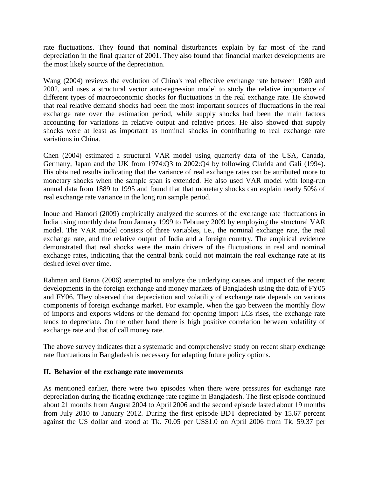rate fluctuations. They found that nominal disturbances explain by far most of the rand depreciation in the final quarter of 2001. They also found that financial market developments are the most likely source of the depreciation.

Wang (2004) reviews the evolution of China's real effective exchange rate between 1980 and 2002, and uses a structural vector auto-regression model to study the relative importance of different types of macroeconomic shocks for fluctuations in the real exchange rate. He showed that real relative demand shocks had been the most important sources of fluctuations in the real exchange rate over the estimation period, while supply shocks had been the main factors accounting for variations in relative output and relative prices. He also showed that supply shocks were at least as important as nominal shocks in contributing to real exchange rate variations in China.

Chen (2004) estimated a structural VAR model using quarterly data of the USA, Canada, Germany, Japan and the UK from 1974:Q3 to 2002:Q4 by following Clarida and Gali (1994). His obtained results indicating that the variance of real exchange rates can be attributed more to monetary shocks when the sample span is extended. He also used VAR model with long-run annual data from 1889 to 1995 and found that that monetary shocks can explain nearly 50% of real exchange rate variance in the long run sample period.

Inoue and Hamori (2009) empirically analyzed the sources of the exchange rate fluctuations in India using monthly data from January 1999 to February 2009 by employing the structural VAR model. The VAR model consists of three variables, i.e., the nominal exchange rate, the real exchange rate, and the relative output of India and a foreign country. The empirical evidence demonstrated that real shocks were the main drivers of the fluctuations in real and nominal exchange rates, indicating that the central bank could not maintain the real exchange rate at its desired level over time.

Rahman and Barua (2006) attempted to analyze the underlying causes and impact of the recent developments in the foreign exchange and money markets of Bangladesh using the data of FY05 and FY06. They observed that depreciation and volatility of exchange rate depends on various components of foreign exchange market. For example, when the gap between the monthly flow of imports and exports widens or the demand for opening import LCs rises, the exchange rate tends to depreciate. On the other hand there is high positive correlation between volatility of exchange rate and that of call money rate.

The above survey indicates that a systematic and comprehensive study on recent sharp exchange rate fluctuations in Bangladesh is necessary for adapting future policy options.

## **II. Behavior of the exchange rate movements**

As mentioned earlier, there were two episodes when there were pressures for exchange rate depreciation during the floating exchange rate regime in Bangladesh. The first episode continued about 21 months from August 2004 to April 2006 and the second episode lasted about 19 months from July 2010 to January 2012. During the first episode BDT depreciated by 15.67 percent against the US dollar and stood at Tk. 70.05 per US\$1.0 on April 2006 from Tk. 59.37 per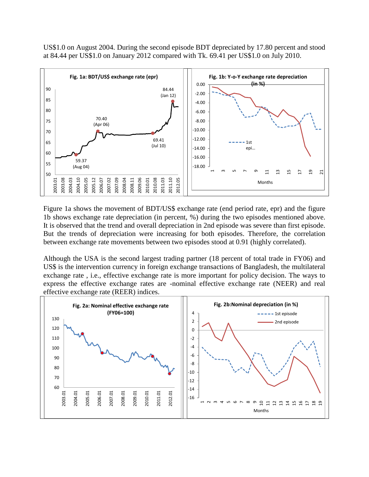US\$1.0 on August 2004. During the second episode BDT depreciated by 17.80 percent and stood at 84.44 per US\$1.0 on January 2012 compared with Tk. 69.41 per US\$1.0 on July 2010.



Figure 1a shows the movement of BDT/US\$ exchange rate (end period rate, epr) and the figure 1b shows exchange rate depreciation (in percent, %) during the two episodes mentioned above. It is observed that the trend and overall depreciation in 2nd episode was severe than first episode. But the trends of depreciation were increasing for both episodes. Therefore, the correlation between exchange rate movements between two episodes stood at 0.91 (highly correlated).

Although the USA is the second largest trading partner (18 percent of total trade in FY06) and US\$ is the intervention currency in foreign exchange transactions of Bangladesh, the multilateral exchange rate , i.e., effective exchange rate is more important for policy decision. The ways to express the effective exchange rates are -nominal effective exchange rate (NEER) and real effective exchange rate (REER) indices.

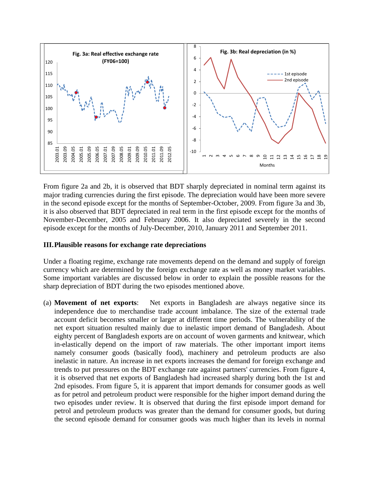

From figure 2a and 2b, it is observed that BDT sharply depreciated in nominal term against its major trading currencies during the first episode. The depreciation would have been more severe in the second episode except for the months of September-October, 2009. From figure 3a and 3b, it is also observed that BDT depreciated in real term in the first episode except for the months of November-December, 2005 and February 2006. It also depreciated severely in the second episode except for the months of July-December, 2010, January 2011 and September 2011.

## **III.Plausible reasons for exchange rate depreciations**

Under a floating regime, exchange rate movements depend on the demand and supply of foreign currency which are determined by the foreign exchange rate as well as money market variables. Some important variables are discussed below in order to explain the possible reasons for the sharp depreciation of BDT during the two episodes mentioned above.

(a) **Movement of net exports**: Net exports in Bangladesh are always negative since its independence due to merchandise trade account imbalance. The size of the external trade account deficit becomes smaller or larger at different time periods. The vulnerability of the net export situation resulted mainly due to inelastic import demand of Bangladesh. About eighty percent of Bangladesh exports are on account of woven garments and knitwear, which in-elastically depend on the import of raw materials. The other important import items namely consumer goods (basically food), machinery and petroleum products are also inelastic in nature. An increase in net exports increases the demand for foreign exchange and trends to put pressures on the BDT exchange rate against partners' currencies. From figure 4, it is observed that net exports of Bangladesh had increased sharply during both the 1st and 2nd episodes. From figure 5, it is apparent that import demands for consumer goods as well as for petrol and petroleum product were responsible for the higher import demand during the two episodes under review. It is observed that during the first episode import demand for petrol and petroleum products was greater than the demand for consumer goods, but during the second episode demand for consumer goods was much higher than its levels in normal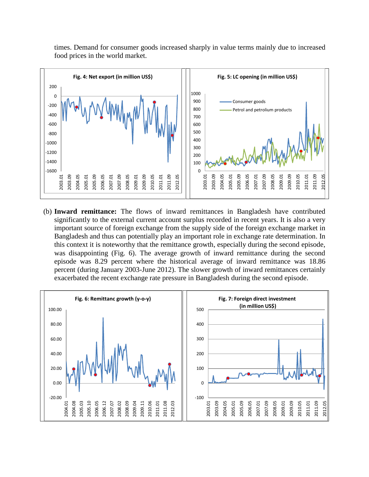times. Demand for consumer goods increased sharply in value terms mainly due to increased food prices in the world market.



(b) **Inward remittance:** The flows of inward remittances in Bangladesh have contributed significantly to the external current account surplus recorded in recent years. It is also a very important source of foreign exchange from the supply side of the foreign exchange market in Bangladesh and thus can potentially play an important role in exchange rate determination. In this context it is noteworthy that the remittance growth, especially during the second episode, was disappointing (Fig. 6). The average growth of inward remittance during the second episode was 8.29 percent where the historical average of inward remittance was 18.86 percent (during January 2003-June 2012). The slower growth of inward remittances certainly exacerbated the recent exchange rate pressure in Bangladesh during the second episode.

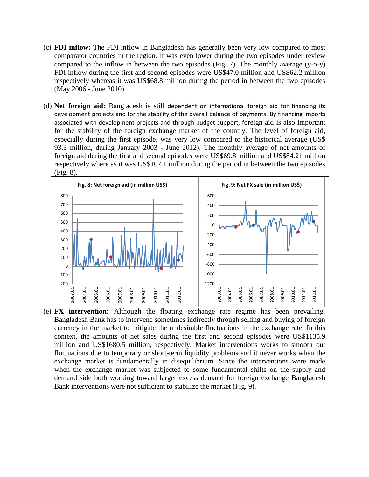- (c) **FDI inflow:** The FDI inflow in Bangladesh has generally been very low compared to most comparator countries in the region. It was even lower during the two episodes under review compared to the inflow in between the two episodes (Fig. 7). The monthly average (y-o-y) FDI inflow during the first and second episodes were US\$47.0 million and US\$62.2 million respectively whereas it was US\$68.8 million during the period in between the two episodes (May 2006 - June 2010).
- (d) **Net foreign aid:** Bangladesh is still dependent on international foreign aid for financing its development projects and for the stability of the overall balance of payments. By financing imports associated with development projects and through budget support, foreign aid is also important for the stability of the foreign exchange market of the country. The level of foreign aid, especially during the first episode, was very low compared to the historical average (US\$ 93.3 million, during January 2003 - June 2012). The monthly average of net amounts of foreign aid during the first and second episodes were US\$69.8 million and US\$84.21 million respectively where as it was US\$107.1 million during the period in between the two episodes (Fig. 8).



(e) **FX intervention:** Although the floating exchange rate regime has been prevailing, Bangladesh Bank has to intervene sometimes indirectly through selling and buying of foreign currency in the market to mitigate the undesirable fluctuations in the exchange rate. In this context, the amounts of net sales during the first and second episodes were US\$1135.9 million and US\$1680.5 million, respectively. Market interventions works to smooth out fluctuations due to temporary or short-term liquidity problems and it never works when the exchange market is fundamentally in disequilibrium. Since the interventions were made when the exchange market was subjected to some fundamental shifts on the supply and demand side both working toward larger excess demand for foreign exchange Bangladesh Bank interventions were not sufficient to stabilize the market (Fig. 9).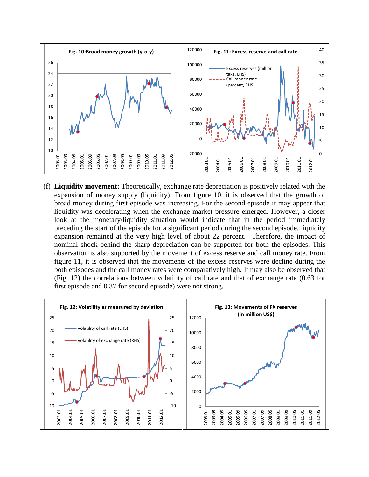

(f) **Liquidity movement:** Theoretically, exchange rate depreciation is positively related with the expansion of money supply (liquidity). From figure 10, it is observed that the growth of broad money during first episode was increasing. For the second episode it may appear that liquidity was decelerating when the exchange market pressure emerged. However, a closer look at the monetary/liquidity situation would indicate that in the period immediately preceding the start of the episode for a significant period during the second episode, liquidity expansion remained at the very high level of about 22 percent. Therefore, the impact of nominal shock behind the sharp depreciation can be supported for both the episodes. This observation is also supported by the movement of excess reserve and call money rate. From figure 11, it is observed that the movements of the excess reserves were decline during the both episodes and the call money rates were comparatively high. It may also be observed that (Fig. 12) the correlations between volatility of call rate and that of exchange rate (0.63 for first episode and 0.37 for second episode) were not strong.

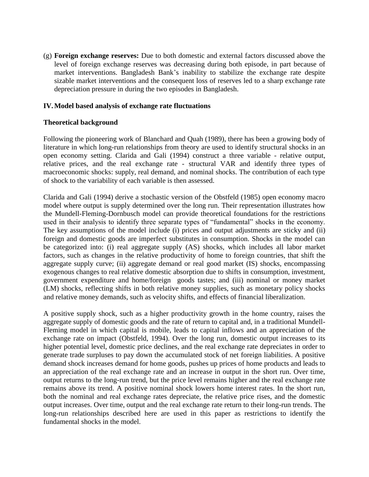(g) **Foreign exchange reserves:** Due to both domestic and external factors discussed above the level of foreign exchange reserves was decreasing during both episode, in part because of market interventions. Bangladesh Bank's inability to stabilize the exchange rate despite sizable market interventions and the consequent loss of reserves led to a sharp exchange rate depreciation pressure in during the two episodes in Bangladesh.

## **IV.Model based analysis of exchange rate fluctuations**

## **Theoretical background**

Following the pioneering work of Blanchard and Quah (1989), there has been a growing body of literature in which long-run relationships from theory are used to identify structural shocks in an open economy setting. Clarida and Gali (1994) construct a three variable - relative output, relative prices, and the real exchange rate - structural VAR and identify three types of macroeconomic shocks: supply, real demand, and nominal shocks. The contribution of each type of shock to the variability of each variable is then assessed.

Clarida and Gali (1994) derive a stochastic version of the Obstfeld (1985) open economy macro model where output is supply determined over the long run. Their representation illustrates how the Mundell-Fleming-Dornbusch model can provide theoretical foundations for the restrictions used in their analysis to identify three separate types of "fundamental" shocks in the economy. The key assumptions of the model include (i) prices and output adjustments are sticky and (ii) foreign and domestic goods are imperfect substitutes in consumption. Shocks in the model can be categorized into: (i) real aggregate supply (AS) shocks, which includes all labor market factors, such as changes in the relative productivity of home to foreign countries, that shift the aggregate supply curve; (ii) aggregate demand or real good market (IS) shocks, encompassing exogenous changes to real relative domestic absorption due to shifts in consumption, investment, government expenditure and home/foreign goods tastes; and (iii) nominal or money market (LM) shocks, reflecting shifts in both relative money supplies, such as monetary policy shocks and relative money demands, such as velocity shifts, and effects of financial liberalization.

A positive supply shock, such as a higher productivity growth in the home country, raises the aggregate supply of domestic goods and the rate of return to capital and, in a traditional Mundell-Fleming model in which capital is mobile, leads to capital inflows and an appreciation of the exchange rate on impact (Obstfeld, 1994). Over the long run, domestic output increases to its higher potential level, domestic price declines, and the real exchange rate depreciates in order to generate trade surpluses to pay down the accumulated stock of net foreign liabilities. A positive demand shock increases demand for home goods, pushes up prices of home products and leads to an appreciation of the real exchange rate and an increase in output in the short run. Over time, output returns to the long-run trend, but the price level remains higher and the real exchange rate remains above its trend. A positive nominal shock lowers home interest rates. In the short run, both the nominal and real exchange rates depreciate, the relative price rises, and the domestic output increases. Over time, output and the real exchange rate return to their long-run trends. The long-run relationships described here are used in this paper as restrictions to identify the fundamental shocks in the model.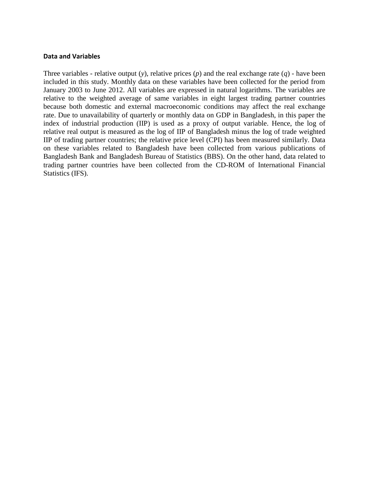### **Data and Variables**

Three variables - relative output (*y*), relative prices (*p*) and the real exchange rate (*q*) - have been included in this study. Monthly data on these variables have been collected for the period from January 2003 to June 2012. All variables are expressed in natural logarithms. The variables are relative to the weighted average of same variables in eight largest trading partner countries because both domestic and external macroeconomic conditions may affect the real exchange rate. Due to unavailability of quarterly or monthly data on GDP in Bangladesh, in this paper the index of industrial production (IIP) is used as a proxy of output variable. Hence, the log of relative real output is measured as the log of IIP of Bangladesh minus the log of trade weighted IIP of trading partner countries; the relative price level (CPI) has been measured similarly. Data on these variables related to Bangladesh have been collected from various publications of Bangladesh Bank and Bangladesh Bureau of Statistics (BBS). On the other hand, data related to trading partner countries have been collected from the CD-ROM of International Financial Statistics (IFS).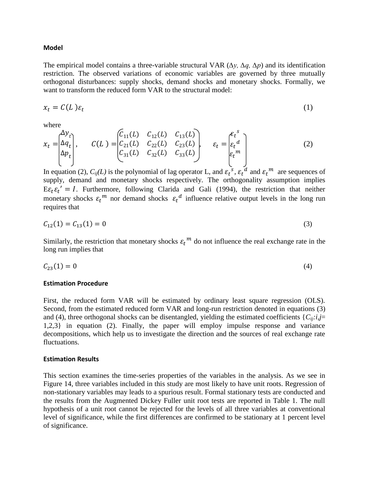#### **Model**

The empirical model contains a three-variable structural VAR (*∆y, ∆q, ∆p*) and its identification restriction. The observed variations of economic variables are governed by three mutually orthogonal disturbances: supply shocks, demand shocks and monetary shocks. Formally, we want to transform the reduced form VAR to the structural model:

$$
x_t = C(L)\varepsilon_t \tag{1}
$$

where

$$
x_{t} = \begin{bmatrix} \Delta y_{t} \\ \Delta q_{t} \\ \Delta p_{t} \end{bmatrix}, \qquad C(L) = \begin{bmatrix} C_{11}(L) & C_{12}(L) & C_{13}(L) \\ C_{21}(L) & C_{22}(L) & C_{23}(L) \\ C_{31}(L) & C_{32}(L) & C_{33}(L) \end{bmatrix}, \qquad \varepsilon_{t} = \begin{bmatrix} \varepsilon_{t}^{s} \\ \varepsilon_{t}^{d} \\ \varepsilon_{t}^{m} \end{bmatrix}
$$
(2)

In equation (2),  $C_{ij}(L)$  is the polynomial of lag operator L, and  $\varepsilon_t^{\ s}$ ,  $\varepsilon_t^{\ d}$  and  $\varepsilon_t^{\ m}$  are sequences of supply, demand and monetary shocks respectively. The orthogonality assumption implies  $E \varepsilon_t \varepsilon_t' = I$ . Furthermore, following Clarida and Gali (1994), the restriction that neither monetary shocks  $\varepsilon_t^m$  nor demand shocks  $\varepsilon_t^d$  influence relative output levels in the long run requires that

$$
C_{12}(1) = C_{13}(1) = 0 \tag{3}
$$

Similarly, the restriction that monetary shocks  $\varepsilon_t^m$  do not influence the real exchange rate in the long run implies that

$$
C_{23}(1) = 0 \tag{4}
$$

#### **Estimation Procedure**

First, the reduced form VAR will be estimated by ordinary least square regression (OLS). Second, from the estimated reduced form VAR and long-run restriction denoted in equations (3) and (4), three orthogonal shocks can be disentangled, yielding the estimated coefficients  $\{C_{ij}: i,j=$ 1,2,3} in equation (2). Finally, the paper will employ impulse response and variance decompositions, which help us to investigate the direction and the sources of real exchange rate fluctuations.

#### **Estimation Results**

This section examines the time-series properties of the variables in the analysis. As we see in Figure 14, three variables included in this study are most likely to have unit roots. Regression of non-stationary variables may leads to a spurious result. Formal stationary tests are conducted and the results from the Augmented Dickey Fuller unit root tests are reported in Table 1. The null hypothesis of a unit root cannot be rejected for the levels of all three variables at conventional level of significance, while the first differences are confirmed to be stationary at 1 percent level of significance.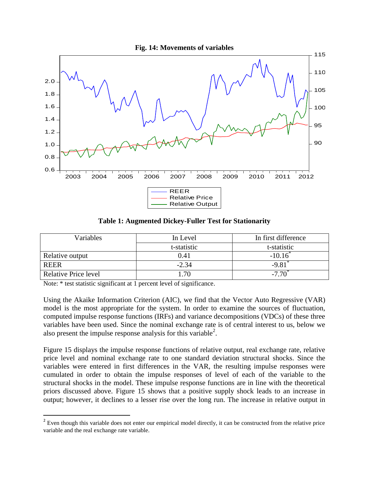



**Table 1: Augmented Dickey-Fuller Test for Stationarity**

| Variables                   | In first difference<br>In Level |             |
|-----------------------------|---------------------------------|-------------|
|                             | t-statistic                     | t-statistic |
| Relative output             | 0.41                            | $-10.16$    |
| <b>REER</b>                 | $-2.34$                         | $-9.81$     |
| <b>Relative Price level</b> | .70                             |             |

Note: \* test statistic significant at 1 percent level of significance.

 $\overline{\phantom{a}}$ 

Using the Akaike Information Criterion (AIC), we find that the Vector Auto Regressive (VAR) model is the most appropriate for the system. In order to examine the sources of fluctuation, computed impulse response functions (IRFs) and variance decompositions (VDCs) of these three variables have been used. Since the nominal exchange rate is of central interest to us, below we also present the impulse response analysis for this variable<sup>2</sup>.

Figure 15 displays the impulse response functions of relative output, real exchange rate, relative price level and nominal exchange rate to one standard deviation structural shocks. Since the variables were entered in first differences in the VAR, the resulting impulse responses were cumulated in order to obtain the impulse responses of level of each of the variable to the structural shocks in the model. These impulse response functions are in line with the theoretical priors discussed above. Figure 15 shows that a positive supply shock leads to an increase in output; however, it declines to a lesser rise over the long run. The increase in relative output in

 $2^2$  Even though this variable does not enter our empirical model directly, it can be constructed from the relative price variable and the real exchange rate variable.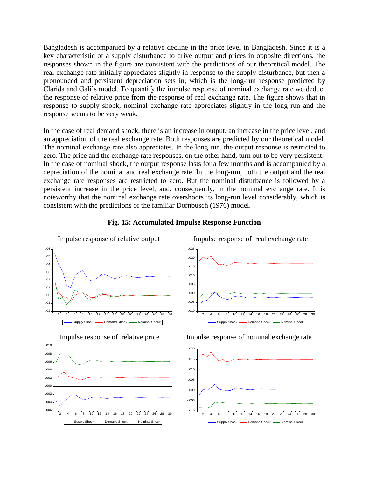Bangladesh is accompanied by a relative decline in the price level in Bangladesh. Since it is a key characteristic of a supply disturbance to drive output and prices in opposite directions, the responses shown in the figure are consistent with the predictions of our theoretical model. The real exchange rate initially appreciates slightly in response to the supply disturbance, but then a pronounced and persistent depreciation sets in, which is the long-run response predicted by Clarida and Gali's model. To quantify the impulse response of nominal exchange rate we deduct the response of relative price from the response of real exchange rate. The figure shows that in response to supply shock, nominal exchange rate appreciates slightly in the long run and the response seems to be very weak.

In the case of real demand shock, there is an increase in output, an increase in the price level, and an appreciation of the real exchange rate. Both responses are predicted by our theoretical model. The nominal exchange rate also appreciates. In the long run, the output response is restricted to zero. The price and the exchange rate responses, on the other hand, turn out to be very persistent. In the case of nominal shock, the output response lasts for a few months and is accompanied by a depreciation of the nominal and real exchange rate. In the long-run, both the output and the real exchange rate responses are restricted to zero. But the nominal disturbance is followed by a persistent increase in the price level, and, consequently, in the nominal exchange rate. It is noteworthy that the nominal exchange rate overshoots its long-run level considerably, which is consistent with the predictions of the familiar Dornbusch (1976) model.



### **Fig. 15: Accumulated Impulse Response Function**



Impulse response of relative output Impulse response of real exchange rate



Impulse response of relative price Impulse response of nominal exchange rate

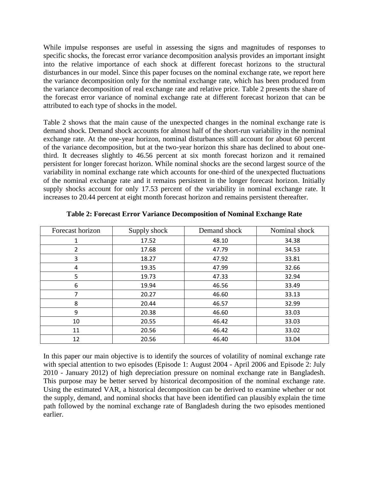While impulse responses are useful in assessing the signs and magnitudes of responses to specific shocks, the forecast error variance decomposition analysis provides an important insight into the relative importance of each shock at different forecast horizons to the structural disturbances in our model. Since this paper focuses on the nominal exchange rate, we report here the variance decomposition only for the nominal exchange rate, which has been produced from the variance decomposition of real exchange rate and relative price. Table 2 presents the share of the forecast error variance of nominal exchange rate at different forecast horizon that can be attributed to each type of shocks in the model.

Table 2 shows that the main cause of the unexpected changes in the nominal exchange rate is demand shock. Demand shock accounts for almost half of the short-run variability in the nominal exchange rate. At the one-year horizon, nominal disturbances still account for about 60 percent of the variance decomposition, but at the two-year horizon this share has declined to about onethird. It decreases slightly to 46.56 percent at six month forecast horizon and it remained persistent for longer forecast horizon. While nominal shocks are the second largest source of the variability in nominal exchange rate which accounts for one-third of the unexpected fluctuations of the nominal exchange rate and it remains persistent in the longer forecast horizon. Initially supply shocks account for only 17.53 percent of the variability in nominal exchange rate. It increases to 20.44 percent at eight month forecast horizon and remains persistent thereafter.

| Forecast horizon | Supply shock | Demand shock | Nominal shock |
|------------------|--------------|--------------|---------------|
| 1                | 17.52        | 48.10        | 34.38         |
| 2                | 17.68        | 47.79        | 34.53         |
| 3                | 18.27        | 47.92        | 33.81         |
| 4                | 19.35        | 47.99        | 32.66         |
| 5                | 19.73        | 47.33        | 32.94         |
| 6                | 19.94        | 46.56        | 33.49         |
|                  | 20.27        | 46.60        | 33.13         |
| 8                | 20.44        | 46.57        | 32.99         |
| 9                | 20.38        | 46.60        | 33.03         |
| 10               | 20.55        | 46.42        | 33.03         |
| 11               | 20.56        | 46.42        | 33.02         |
| 12               | 20.56        | 46.40        | 33.04         |

**Table 2: Forecast Error Variance Decomposition of Nominal Exchange Rate**

In this paper our main objective is to identify the sources of volatility of nominal exchange rate with special attention to two episodes (Episode 1: August 2004 - April 2006 and Episode 2: July 2010 - January 2012) of high depreciation pressure on nominal exchange rate in Bangladesh. This purpose may be better served by historical decomposition of the nominal exchange rate. Using the estimated VAR, a historical decomposition can be derived to examine whether or not the supply, demand, and nominal shocks that have been identified can plausibly explain the time path followed by the nominal exchange rate of Bangladesh during the two episodes mentioned earlier.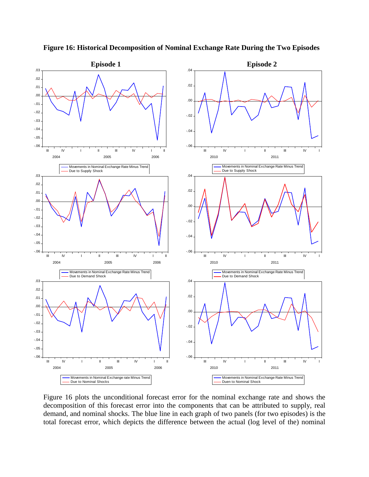

**Figure 16: Historical Decomposition of Nominal Exchange Rate During the Two Episodes**

Figure 16 plots the unconditional forecast error for the nominal exchange rate and shows the decomposition of this forecast error into the components that can be attributed to supply, real demand, and nominal shocks. The blue line in each graph of two panels (for two episodes) is the total forecast error, which depicts the difference between the actual (log level of the) nominal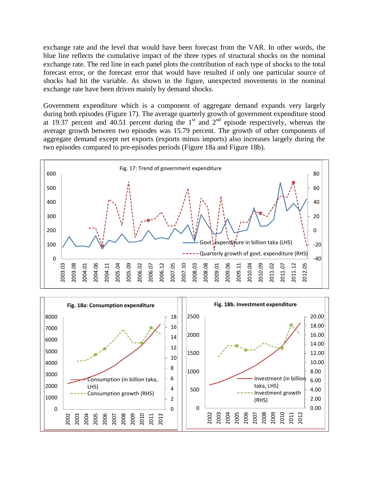exchange rate and the level that would have been forecast from the VAR. In other words, the blue line reflects the cumulative impact of the three types of structural shocks on the nominal exchange rate. The red line in each panel plots the contribution of each type of shocks to the total forecast error, or the forecast error that would have resulted if only one particular source of shocks had hit the variable. As shown in the figure, unexpected movements in the nominal exchange rate have been driven mainly by demand shocks.

Government expenditure which is a component of aggregate demand expands very largely during both episodes (Figure 17). The average quarterly growth of government expenditure stood at 19.37 percent and 40.51 percent during the  $1<sup>st</sup>$  and  $2<sup>nd</sup>$  episode respectively, whereas the average growth between two episodes was 15.79 percent. The growth of other components of aggregate demand except net exports (exports minus imports) also increases largely during the two episodes compared to pre-episodes periods (Figure 18a and Figure 18b).